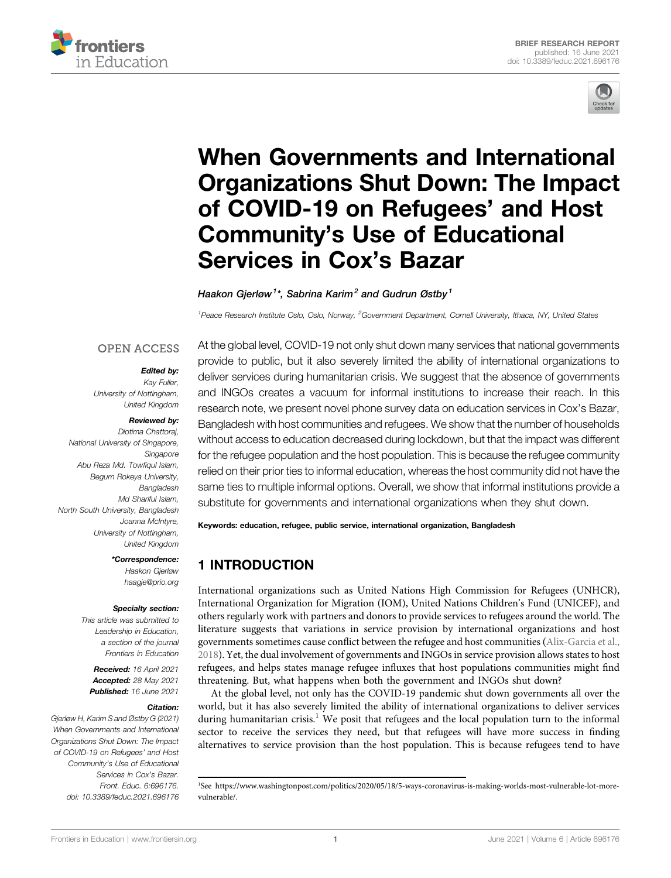



# [When Governments and International](https://www.frontiersin.org/articles/10.3389/feduc.2021.696176/full) [Organizations Shut Down: The Impact](https://www.frontiersin.org/articles/10.3389/feduc.2021.696176/full) [of COVID-19 on Refugees](https://www.frontiersin.org/articles/10.3389/feduc.2021.696176/full)' and Host Community'[s Use of Educational](https://www.frontiersin.org/articles/10.3389/feduc.2021.696176/full) [Services in Cox](https://www.frontiersin.org/articles/10.3389/feduc.2021.696176/full)'s Bazar

Haakon Gjerløw<sup>1\*</sup>, Sabrina Karim<sup>2</sup> and Gudrun Østby<sup>1</sup>

<sup>1</sup> Peace Research Institute Oslo, Oslo, Norway, <sup>2</sup> Government Department, Cornell University, Ithaca, NY, United States

#### **OPEN ACCESS**

#### Edited by:

Kay Fuller, University of Nottingham, United Kingdom

#### Reviewed by:

Diotima Chattoraj, National University of Singapore, Singapore Abu Reza Md. Towfiqul Islam, Begum Rokeya University, Bangladesh Md Shariful Islam, North South University, Bangladesh Joanna McIntyre, University of Nottingham, United Kingdom

> \*Correspondence: Haakon Gjerløw [haagje@prio.org](mailto:haagje@prio.org)

#### Specialty section:

This article was submitted to Leadership in Education, a section of the journal Frontiers in Education

Received: 16 April 2021 Accepted: 28 May 2021 Published: 16 June 2021

#### Citation:

Gjerløw H, Karim S and Østby G (2021) When Governments and International Organizations Shut Down: The Impact of COVID-19 on Refugees' and Host Community's Use of Educational Services in Cox's Bazar. Front. Educ. 6:696176. doi: [10.3389/feduc.2021.696176](https://doi.org/10.3389/feduc.2021.696176)

At the global level, COVID-19 not only shut down many services that national governments provide to public, but it also severely limited the ability of international organizations to deliver services during humanitarian crisis. We suggest that the absence of governments and INGOs creates a vacuum for informal institutions to increase their reach. In this research note, we present novel phone survey data on education services in Cox's Bazar, Bangladesh with host communities and refugees. We show that the number of households without access to education decreased during lockdown, but that the impact was different for the refugee population and the host population. This is because the refugee community relied on their prior ties to informal education, whereas the host community did not have the same ties to multiple informal options. Overall, we show that informal institutions provide a substitute for governments and international organizations when they shut down.

Keywords: education, refugee, public service, international organization, Bangladesh

# 1 INTRODUCTION

International organizations such as United Nations High Commission for Refugees (UNHCR), International Organization for Migration (IOM), United Nations Children's Fund (UNICEF), and others regularly work with partners and donors to provide services to refugees around the world. The literature suggests that variations in service provision by international organizations and host governments sometimes cause conflict between the refugee and host communities ([Alix-Garcia et al.,](#page-5-0) [2018\)](#page-5-0). Yet, the dual involvement of governments and INGOs in service provision allows states to host refugees, and helps states manage refugee influxes that host populations communities might find threatening. But, what happens when both the government and INGOs shut down?

At the global level, not only has the COVID-19 pandemic shut down governments all over the world, but it has also severely limited the ability of international organizations to deliver services during humanitarian crisis.<sup>1</sup> We posit that refugees and the local population turn to the informal sector to receive the services they need, but that refugees will have more success in finding alternatives to service provision than the host population. This is because refugees tend to have

<sup>1</sup> See [https://www.washingtonpost.com/politics/2020/05/18/5-ways-coronavirus-is-making-worlds-most-vulnerable-lot-more](https://www.washingtonpost.com/politics/2020/05/18/5-ways-coronavirus-is-making-worlds-most-vulnerable-lot-more-vulnerable/)[vulnerable/](https://www.washingtonpost.com/politics/2020/05/18/5-ways-coronavirus-is-making-worlds-most-vulnerable-lot-more-vulnerable/).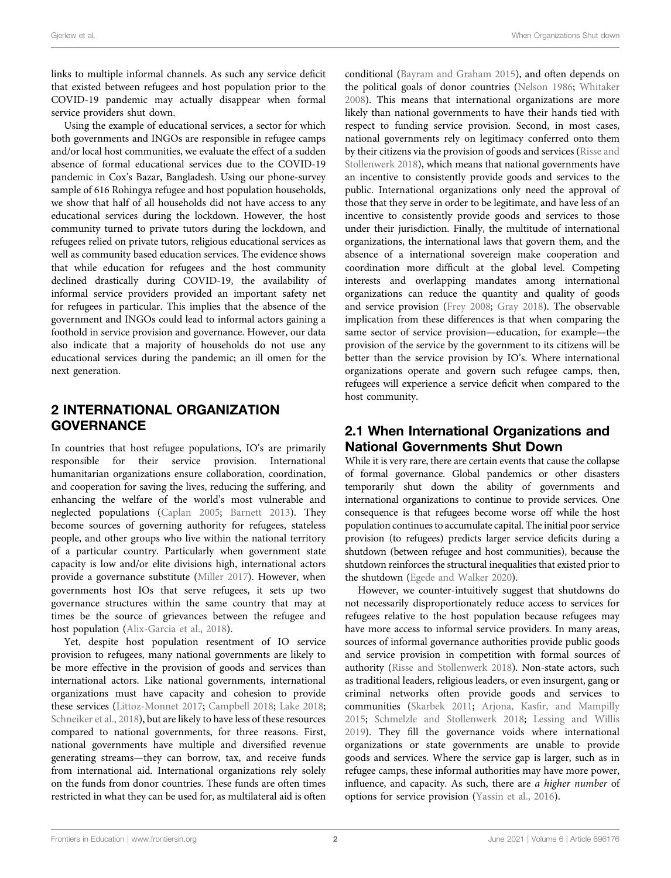links to multiple informal channels. As such any service deficit that existed between refugees and host population prior to the COVID-19 pandemic may actually disappear when formal service providers shut down.

Using the example of educational services, a sector for which both governments and INGOs are responsible in refugee camps and/or local host communities, we evaluate the effect of a sudden absence of formal educational services due to the COVID-19 pandemic in Cox's Bazar, Bangladesh. Using our phone-survey sample of 616 Rohingya refugee and host population households, we show that half of all households did not have access to any educational services during the lockdown. However, the host community turned to private tutors during the lockdown, and refugees relied on private tutors, religious educational services as well as community based education services. The evidence shows that while education for refugees and the host community declined drastically during COVID-19, the availability of informal service providers provided an important safety net for refugees in particular. This implies that the absence of the government and INGOs could lead to informal actors gaining a foothold in service provision and governance. However, our data also indicate that a majority of households do not use any educational services during the pandemic; an ill omen for the next generation.

# 2 INTERNATIONAL ORGANIZATION **GOVERNANCE**

In countries that host refugee populations, IO's are primarily responsible for their service provision. International humanitarian organizations ensure collaboration, coordination, and cooperation for saving the lives, reducing the suffering, and enhancing the welfare of the world's most vulnerable and neglected populations ([Caplan 2005](#page-6-0); [Barnett 2013\)](#page-6-1). They become sources of governing authority for refugees, stateless people, and other groups who live within the national territory of a particular country. Particularly when government state capacity is low and/or elite divisions high, international actors provide a governance substitute [\(Miller 2017](#page-6-2)). However, when governments host IOs that serve refugees, it sets up two governance structures within the same country that may at times be the source of grievances between the refugee and host population [\(Alix-Garcia et al., 2018](#page-5-0)).

Yet, despite host population resentment of IO service provision to refugees, many national governments are likely to be more effective in the provision of goods and services than international actors. Like national governments, international organizations must have capacity and cohesion to provide these services [\(Littoz-Monnet 2017;](#page-6-3) [Campbell 2018;](#page-6-4) [Lake 2018](#page-6-5); [Schneiker et al., 2018](#page-6-6)), but are likely to have less of these resources compared to national governments, for three reasons. First, national governments have multiple and diversified revenue generating streams—they can borrow, tax, and receive funds from international aid. International organizations rely solely on the funds from donor countries. These funds are often times restricted in what they can be used for, as multilateral aid is often

conditional [\(Bayram and Graham 2015](#page-6-7)), and often depends on the political goals of donor countries ([Nelson 1986](#page-6-8); [Whitaker](#page-6-9) [2008](#page-6-9)). This means that international organizations are more likely than national governments to have their hands tied with respect to funding service provision. Second, in most cases, national governments rely on legitimacy conferred onto them by their citizens via the provision of goods and services ([Risse and](#page-6-10) [Stollenwerk 2018\)](#page-6-10), which means that national governments have an incentive to consistently provide goods and services to the public. International organizations only need the approval of those that they serve in order to be legitimate, and have less of an incentive to consistently provide goods and services to those under their jurisdiction. Finally, the multitude of international organizations, the international laws that govern them, and the absence of a international sovereign make cooperation and coordination more difficult at the global level. Competing interests and overlapping mandates among international organizations can reduce the quantity and quality of goods and service provision ([Frey 2008](#page-6-11); [Gray 2018](#page-6-12)). The observable implication from these differences is that when comparing the same sector of service provision—education, for example—the provision of the service by the government to its citizens will be better than the service provision by IO's. Where international organizations operate and govern such refugee camps, then, refugees will experience a service deficit when compared to the host community.

# 2.1 When International Organizations and National Governments Shut Down

While it is very rare, there are certain events that cause the collapse of formal governance. Global pandemics or other disasters temporarily shut down the ability of governments and international organizations to continue to provide services. One consequence is that refugees become worse off while the host population continues to accumulate capital. The initial poor service provision (to refugees) predicts larger service deficits during a shutdown (between refugee and host communities), because the shutdown reinforces the structural inequalities that existed prior to the shutdown ([Egede and Walker 2020](#page-6-13)).

However, we counter-intuitively suggest that shutdowns do not necessarily disproportionately reduce access to services for refugees relative to the host population because refugees may have more access to informal service providers. In many areas, sources of informal governance authorities provide public goods and service provision in competition with formal sources of authority ([Risse and Stollenwerk 2018](#page-6-10)). Non-state actors, such as traditional leaders, religious leaders, or even insurgent, gang or criminal networks often provide goods and services to communities ([Skarbek 2011](#page-6-14); Arjona, Kasfi[r, and Mampilly](#page-5-1) [2015](#page-5-1); [Schmelzle and Stollenwerk 2018](#page-6-15); [Lessing and Willis](#page-6-16) [2019](#page-6-16)). They fill the governance voids where international organizations or state governments are unable to provide goods and services. Where the service gap is larger, such as in refugee camps, these informal authorities may have more power, influence, and capacity. As such, there are a higher number of options for service provision [\(Yassin et al., 2016\)](#page-6-17).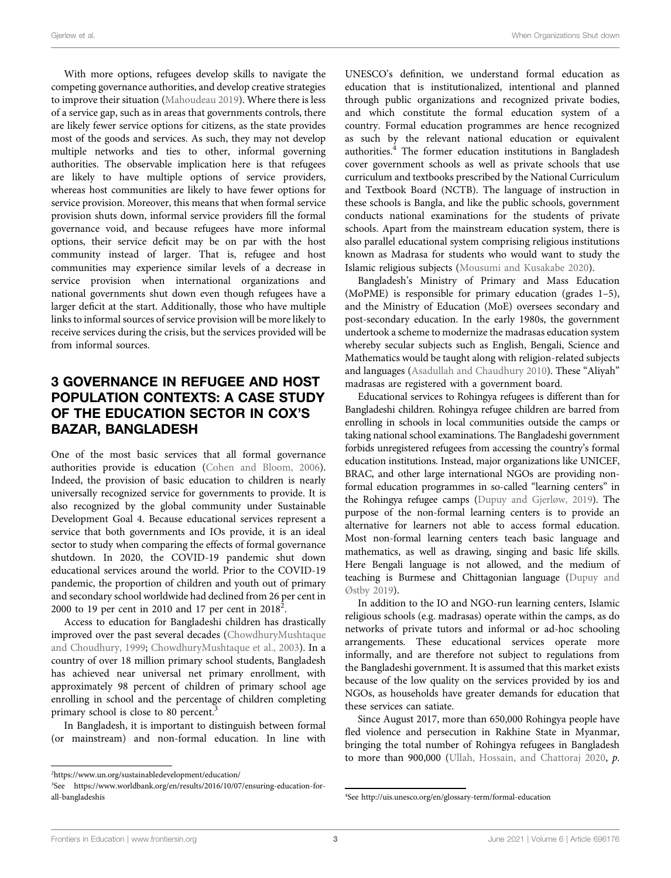With more options, refugees develop skills to navigate the competing governance authorities, and develop creative strategies to improve their situation ([Mahoudeau 2019\)](#page-6-18). Where there is less of a service gap, such as in areas that governments controls, there are likely fewer service options for citizens, as the state provides most of the goods and services. As such, they may not develop multiple networks and ties to other, informal governing authorities. The observable implication here is that refugees are likely to have multiple options of service providers, whereas host communities are likely to have fewer options for service provision. Moreover, this means that when formal service provision shuts down, informal service providers fill the formal governance void, and because refugees have more informal options, their service deficit may be on par with the host community instead of larger. That is, refugee and host communities may experience similar levels of a decrease in service provision when international organizations and national governments shut down even though refugees have a larger deficit at the start. Additionally, those who have multiple links to informal sources of service provision will be more likely to receive services during the crisis, but the services provided will be from informal sources.

## 3 GOVERNANCE IN REFUGEE AND HOST POPULATION CONTEXTS: A CASE STUDY OF THE EDUCATION SECTOR IN COX'S BAZAR, BANGLADESH

One of the most basic services that all formal governance authorities provide is education ([Cohen and Bloom, 2006\)](#page-6-19). Indeed, the provision of basic education to children is nearly universally recognized service for governments to provide. It is also recognized by the global community under Sustainable Development Goal 4. Because educational services represent a service that both governments and IOs provide, it is an ideal sector to study when comparing the effects of formal governance shutdown. In 2020, the COVID-19 pandemic shut down educational services around the world. Prior to the COVID-19 pandemic, the proportion of children and youth out of primary and secondary school worldwide had declined from 26 per cent in 2000 to 19 per cent in 2010 and 17 per cent in  $2018^2$ .

Access to education for Bangladeshi children has drastically improved over the past several decades ([ChowdhuryMushtaque](#page-6-20) [and Choudhury, 1999](#page-6-20); [ChowdhuryMushtaque et al., 2003\)](#page-6-21). In a country of over 18 million primary school students, Bangladesh has achieved near universal net primary enrollment, with approximately 98 percent of children of primary school age enrolling in school and the percentage of children completing primary school is close to 80 percent.<sup>3</sup>

In Bangladesh, it is important to distinguish between formal (or mainstream) and non-formal education. In line with

UNESCO's definition, we understand formal education as education that is institutionalized, intentional and planned through public organizations and recognized private bodies, and which constitute the formal education system of a country. Formal education programmes are hence recognized as such by the relevant national education or equivalent authorities. $4$  The former education institutions in Bangladesh cover government schools as well as private schools that use curriculum and textbooks prescribed by the National Curriculum and Textbook Board (NCTB). The language of instruction in these schools is Bangla, and like the public schools, government conducts national examinations for the students of private schools. Apart from the mainstream education system, there is also parallel educational system comprising religious institutions known as Madrasa for students who would want to study the Islamic religious subjects ([Mousumi and Kusakabe 2020](#page-6-22)).

Bangladesh's Ministry of Primary and Mass Education (MoPME) is responsible for primary education (grades 1–5), and the Ministry of Education (MoE) oversees secondary and post-secondary education. In the early 1980s, the government undertook a scheme to modernize the madrasas education system whereby secular subjects such as English, Bengali, Science and Mathematics would be taught along with religion-related subjects and languages [\(Asadullah and Chaudhury 2010](#page-6-23)). These "Aliyah" madrasas are registered with a government board.

Educational services to Rohingya refugees is different than for Bangladeshi children. Rohingya refugee children are barred from enrolling in schools in local communities outside the camps or taking national school examinations. The Bangladeshi government forbids unregistered refugees from accessing the country's formal education institutions. Instead, major organizations like UNICEF, BRAC, and other large international NGOs are providing nonformal education programmes in so-called "learning centers" in the Rohingya refugee camps [\(Dupuy and Gjerløw, 2019\)](#page-6-24). The purpose of the non-formal learning centers is to provide an alternative for learners not able to access formal education. Most non-formal learning centers teach basic language and mathematics, as well as drawing, singing and basic life skills. Here Bengali language is not allowed, and the medium of teaching is Burmese and Chittagonian language [\(Dupuy and](#page-6-25) [Østby 2019](#page-6-25)).

In addition to the IO and NGO-run learning centers, Islamic religious schools (e.g. madrasas) operate within the camps, as do networks of private tutors and informal or ad-hoc schooling arrangements. These educational services operate more informally, and are therefore not subject to regulations from the Bangladeshi government. It is assumed that this market exists because of the low quality on the services provided by ios and NGOs, as households have greater demands for education that these services can satiate.

Since August 2017, more than 650,000 Rohingya people have fled violence and persecution in Rakhine State in Myanmar, bringing the total number of Rohingya refugees in Bangladesh to more than 900,000 ([Ullah, Hossain, and Chattoraj 2020](#page-6-26), p.

<sup>2</sup> <https://www.un.org/sustainabledevelopment/education/>

<sup>3</sup> See [https://www.worldbank.org/en/results/2016/10/07/ensuring-education-for](https://www.worldbank.org/en/results/2016/10/07/ensuring-education-for-all-bangladeshis)[all-bangladeshis](https://www.worldbank.org/en/results/2016/10/07/ensuring-education-for-all-bangladeshis) <sup>4</sup>

See<http://uis.unesco.org/en/glossary-term/formal-education>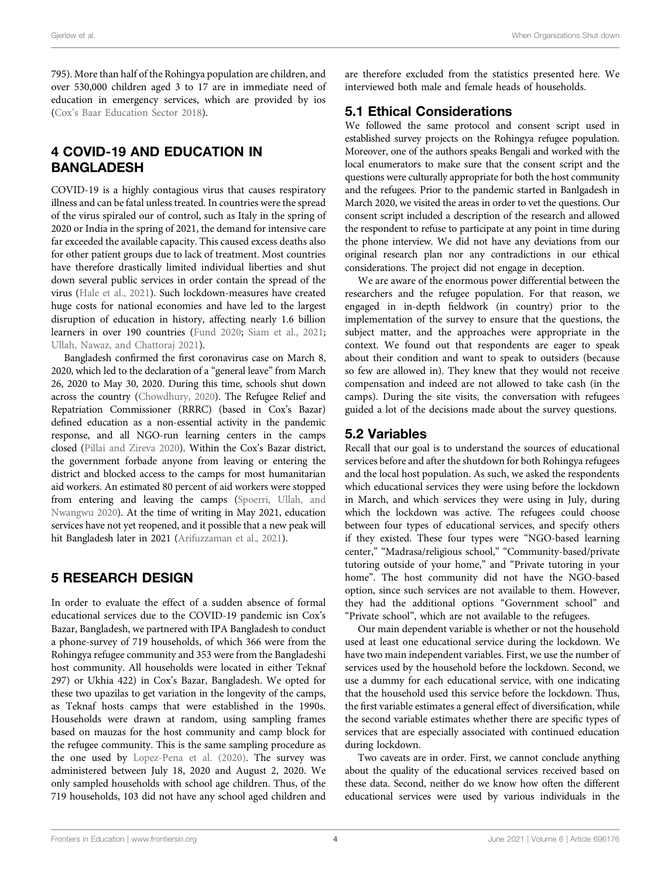795). More than half of the Rohingya population are children, and over 530,000 children aged 3 to 17 are in immediate need of education in emergency services, which are provided by ios (Cox'[s Baar Education Sector 2018](#page-6-27)).

# 4 COVID-19 AND EDUCATION IN BANGLADESH

COVID-19 is a highly contagious virus that causes respiratory illness and can be fatal unless treated. In countries were the spread of the virus spiraled our of control, such as Italy in the spring of 2020 or India in the spring of 2021, the demand for intensive care far exceeded the available capacity. This caused excess deaths also for other patient groups due to lack of treatment. Most countries have therefore drastically limited individual liberties and shut down several public services in order contain the spread of the virus [\(Hale et al., 2021](#page-6-28)). Such lockdown-measures have created huge costs for national economies and have led to the largest disruption of education in history, affecting nearly 1.6 billion learners in over 190 countries ([Fund 2020](#page-6-29); [Siam et al., 2021](#page-6-30); [Ullah, Nawaz, and Chattoraj 2021\)](#page-6-31).

Bangladesh confirmed the first coronavirus case on March 8, 2020, which led to the declaration of a "general leave" from March 26, 2020 to May 30, 2020. During this time, schools shut down across the country ([Chowdhury, 2020\)](#page-6-32). The Refugee Relief and Repatriation Commissioner (RRRC) (based in Cox's Bazar) defined education as a non-essential activity in the pandemic response, and all NGO-run learning centers in the camps closed ([Pillai and Zireva 2020](#page-6-33)). Within the Cox's Bazar district, the government forbade anyone from leaving or entering the district and blocked access to the camps for most humanitarian aid workers. An estimated 80 percent of aid workers were stopped from entering and leaving the camps [\(Spoerri, Ullah, and](#page-6-34) [Nwangwu 2020](#page-6-34)). At the time of writing in May 2021, education services have not yet reopened, and it possible that a new peak will hit Bangladesh later in 2021 [\(Arifuzzaman et al., 2021](#page-5-2)).

## 5 RESEARCH DESIGN

In order to evaluate the effect of a sudden absence of formal educational services due to the COVID-19 pandemic isn Cox's Bazar, Bangladesh, we partnered with IPA Bangladesh to conduct a phone-survey of 719 households, of which 366 were from the Rohingya refugee community and 353 were from the Bangladeshi host community. All households were located in either Teknaf 297) or Ukhia 422) in Cox's Bazar, Bangladesh. We opted for these two upazilas to get variation in the longevity of the camps, as Teknaf hosts camps that were established in the 1990s. Households were drawn at random, using sampling frames based on mauzas for the host community and camp block for the refugee community. This is the same sampling procedure as the one used by [Lopez-Pena et al. \(2020\)](#page-6-35). The survey was administered between July 18, 2020 and August 2, 2020. We only sampled households with school age children. Thus, of the 719 households, 103 did not have any school aged children and

are therefore excluded from the statistics presented here. We interviewed both male and female heads of households.

## 5.1 Ethical Considerations

We followed the same protocol and consent script used in established survey projects on the Rohingya refugee population. Moreover, one of the authors speaks Bengali and worked with the local enumerators to make sure that the consent script and the questions were culturally appropriate for both the host community and the refugees. Prior to the pandemic started in Banlgadesh in March 2020, we visited the areas in order to vet the questions. Our consent script included a description of the research and allowed the respondent to refuse to participate at any point in time during the phone interview. We did not have any deviations from our original research plan nor any contradictions in our ethical considerations. The project did not engage in deception.

We are aware of the enormous power differential between the researchers and the refugee population. For that reason, we engaged in in-depth fieldwork (in country) prior to the implementation of the survey to ensure that the questions, the subject matter, and the approaches were appropriate in the context. We found out that respondents are eager to speak about their condition and want to speak to outsiders (because so few are allowed in). They knew that they would not receive compensation and indeed are not allowed to take cash (in the camps). During the site visits, the conversation with refugees guided a lot of the decisions made about the survey questions.

# 5.2 Variables

Recall that our goal is to understand the sources of educational services before and after the shutdown for both Rohingya refugees and the local host population. As such, we asked the respondents which educational services they were using before the lockdown in March, and which services they were using in July, during which the lockdown was active. The refugees could choose between four types of educational services, and specify others if they existed. These four types were "NGO-based learning center," "Madrasa/religious school," "Community-based/private tutoring outside of your home," and "Private tutoring in your home". The host community did not have the NGO-based option, since such services are not available to them. However, they had the additional options "Government school" and "Private school", which are not available to the refugees.

Our main dependent variable is whether or not the household used at least one educational service during the lockdown. We have two main independent variables. First, we use the number of services used by the household before the lockdown. Second, we use a dummy for each educational service, with one indicating that the household used this service before the lockdown. Thus, the first variable estimates a general effect of diversification, while the second variable estimates whether there are specific types of services that are especially associated with continued education during lockdown.

Two caveats are in order. First, we cannot conclude anything about the quality of the educational services received based on these data. Second, neither do we know how often the different educational services were used by various individuals in the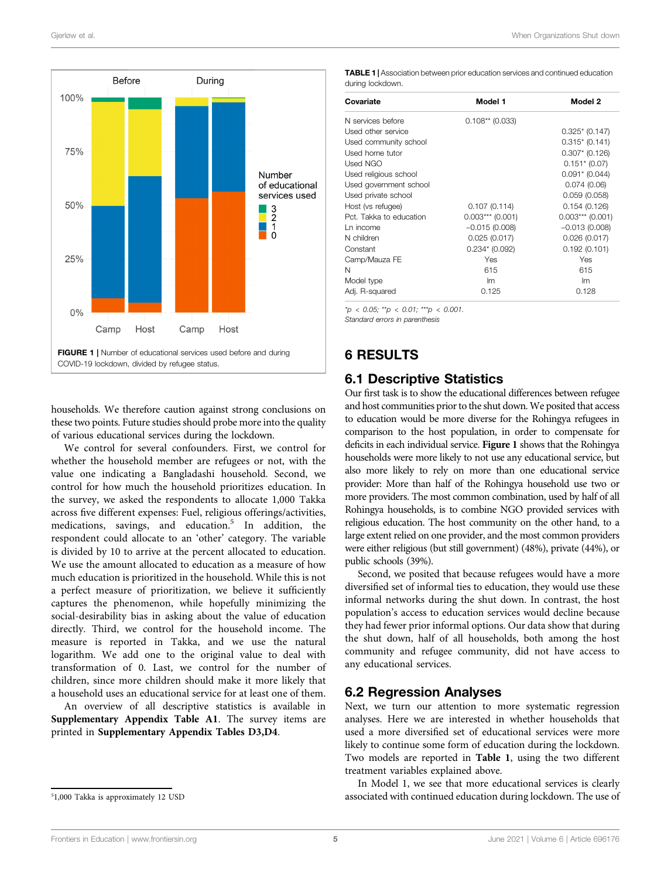

<span id="page-4-0"></span>households. We therefore caution against strong conclusions on these two points. Future studies should probe more into the quality of various educational services during the lockdown.

We control for several confounders. First, we control for whether the household member are refugees or not, with the value one indicating a Bangladashi household. Second, we control for how much the household prioritizes education. In the survey, we asked the respondents to allocate 1,000 Takka across five different expenses: Fuel, religious offerings/activities, medications, savings, and education.<sup>5</sup> In addition, the respondent could allocate to an 'other' category. The variable is divided by 10 to arrive at the percent allocated to education. We use the amount allocated to education as a measure of how much education is prioritized in the household. While this is not a perfect measure of prioritization, we believe it sufficiently captures the phenomenon, while hopefully minimizing the social-desirability bias in asking about the value of education directly. Third, we control for the household income. The measure is reported in Takka, and we use the natural logarithm. We add one to the original value to deal with transformation of 0. Last, we control for the number of children, since more children should make it more likely that a household uses an educational service for at least one of them.

An overview of all descriptive statistics is available in [Supplementary Appendix Table A1](#page-5-3). The survey items are printed in [Supplementary Appendix Tables D3,D4](#page-5-3).

<span id="page-4-1"></span>TABLE 1 | Association between prior education services and continued education during lockdown.

| Covariate               | Model 1            | Model 2            |
|-------------------------|--------------------|--------------------|
| N services before       | $0.108**$ (0.033)  |                    |
| Used other service      |                    | $0.325*(0.147)$    |
| Used community school   |                    | $0.315*(0.141)$    |
| Used home tutor         |                    | $0.307*$ (0.126)   |
| Used NGO                |                    | $0.151* (0.07)$    |
| Used religious school   |                    | $0.091* (0.044)$   |
| Used government school  |                    | 0.074(0.06)        |
| Used private school     |                    | 0.059(0.058)       |
| Host (vs refugee)       | 0.107(0.114)       | 0.154(0.126)       |
| Pct. Takka to education | $0.003***$ (0.001) | $0.003***$ (0.001) |
| Ln income               | $-0.015(0.008)$    | $-0.013(0.008)$    |
| N children              | 0.025(0.017)       | 0.026(0.017)       |
| Constant                | $0.234* (0.092)$   | 0.192(0.101)       |
| Camp/Mauza FE           | Yes                | Yes                |
| N                       | 615                | 615                |
| Model type              | lm                 | Im                 |
| Adj. R-squared          | 0.125              | 0.128              |

 $*_{p}$  < 0.05;  $*_{p}$  < 0.01;  $*_{p}$  < 0.001.

Standard errors in parenthesis

### 6 RESULTS

#### 6.1 Descriptive Statistics

Our first task is to show the educational differences between refugee and host communities prior to the shut down. We posited that access to education would be more diverse for the Rohingya refugees in comparison to the host population, in order to compensate for deficits in each individual service. [Figure 1](#page-4-0) shows that the Rohingya households were more likely to not use any educational service, but also more likely to rely on more than one educational service provider: More than half of the Rohingya household use two or more providers. The most common combination, used by half of all Rohingya households, is to combine NGO provided services with religious education. The host community on the other hand, to a large extent relied on one provider, and the most common providers were either religious (but still government) (48%), private (44%), or public schools (39%).

Second, we posited that because refugees would have a more diversified set of informal ties to education, they would use these informal networks during the shut down. In contrast, the host population's access to education services would decline because they had fewer prior informal options. Our data show that during the shut down, half of all households, both among the host community and refugee community, did not have access to any educational services.

#### 6.2 Regression Analyses

Next, we turn our attention to more systematic regression analyses. Here we are interested in whether households that used a more diversified set of educational services were more likely to continue some form of education during the lockdown. Two models are reported in [Table 1](#page-4-1), using the two different treatment variables explained above.

In Model 1, we see that more educational services is clearly associated with continued education during lockdown. The use of

<sup>5</sup> 1,000 Takka is approximately 12 USD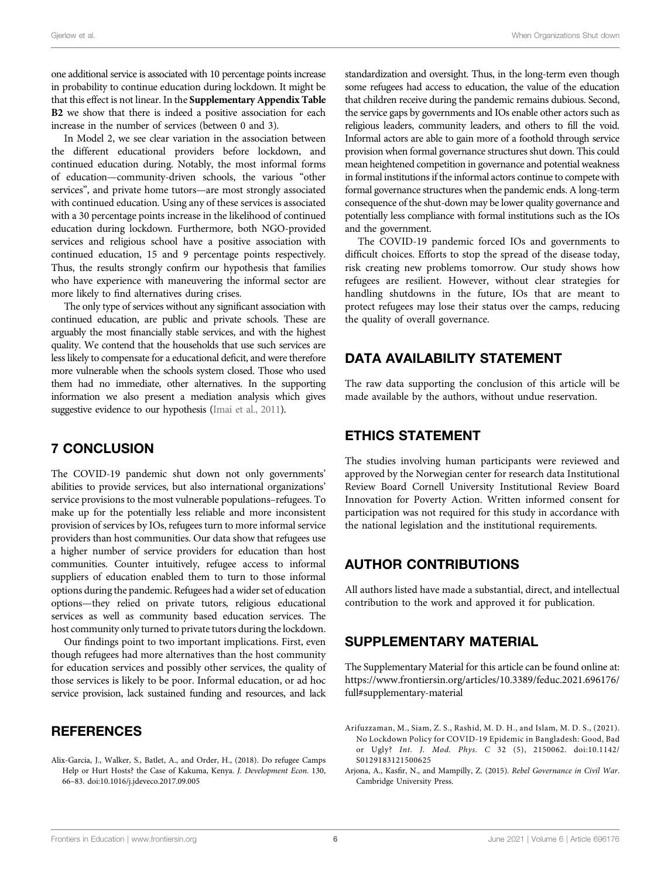one additional service is associated with 10 percentage points increase in probability to continue education during lockdown. It might be that this effect is not linear. In the [Supplementary Appendix Table](#page-5-3) [B2](#page-5-3) we show that there is indeed a positive association for each increase in the number of services (between 0 and 3).

In Model 2, we see clear variation in the association between the different educational providers before lockdown, and continued education during. Notably, the most informal forms of education—community-driven schools, the various "other services", and private home tutors—are most strongly associated with continued education. Using any of these services is associated with a 30 percentage points increase in the likelihood of continued education during lockdown. Furthermore, both NGO-provided services and religious school have a positive association with continued education, 15 and 9 percentage points respectively. Thus, the results strongly confirm our hypothesis that families who have experience with maneuvering the informal sector are more likely to find alternatives during crises.

The only type of services without any significant association with continued education, are public and private schools. These are arguably the most financially stable services, and with the highest quality. We contend that the households that use such services are less likely to compensate for a educational deficit, and were therefore more vulnerable when the schools system closed. Those who used them had no immediate, other alternatives. In the supporting information we also present a mediation analysis which gives suggestive evidence to our hypothesis [\(Imai et al., 2011\)](#page-6-36).

#### 7 CONCLUSION

The COVID-19 pandemic shut down not only governments' abilities to provide services, but also international organizations' service provisions to the most vulnerable populations–refugees. To make up for the potentially less reliable and more inconsistent provision of services by IOs, refugees turn to more informal service providers than host communities. Our data show that refugees use a higher number of service providers for education than host communities. Counter intuitively, refugee access to informal suppliers of education enabled them to turn to those informal options during the pandemic. Refugees had a wider set of education options—they relied on private tutors, religious educational services as well as community based education services. The host community only turned to private tutors during the lockdown.

Our findings point to two important implications. First, even though refugees had more alternatives than the host community for education services and possibly other services, the quality of those services is likely to be poor. Informal education, or ad hoc service provision, lack sustained funding and resources, and lack

### **REFERENCES**

standardization and oversight. Thus, in the long-term even though some refugees had access to education, the value of the education that children receive during the pandemic remains dubious. Second, the service gaps by governments and IOs enable other actors such as religious leaders, community leaders, and others to fill the void. Informal actors are able to gain more of a foothold through service provision when formal governance structures shut down. This could mean heightened competition in governance and potential weakness in formal institutions if the informal actors continue to compete with formal governance structures when the pandemic ends. A long-term consequence of the shut-down may be lower quality governance and potentially less compliance with formal institutions such as the IOs and the government.

The COVID-19 pandemic forced IOs and governments to difficult choices. Efforts to stop the spread of the disease today, risk creating new problems tomorrow. Our study shows how refugees are resilient. However, without clear strategies for handling shutdowns in the future, IOs that are meant to protect refugees may lose their status over the camps, reducing the quality of overall governance.

# DATA AVAILABILITY STATEMENT

The raw data supporting the conclusion of this article will be made available by the authors, without undue reservation.

#### ETHICS STATEMENT

The studies involving human participants were reviewed and approved by the Norwegian center for research data Institutional Review Board Cornell University Institutional Review Board Innovation for Poverty Action. Written informed consent for participation was not required for this study in accordance with the national legislation and the institutional requirements.

#### AUTHOR CONTRIBUTIONS

All authors listed have made a substantial, direct, and intellectual contribution to the work and approved it for publication.

#### <span id="page-5-3"></span>SUPPLEMENTARY MATERIAL

The Supplementary Material for this article can be found online at: [https://www.frontiersin.org/articles/10.3389/feduc.2021.696176/](https://www.frontiersin.org/articles/10.3389/feduc.2021.696176/full#supplementary-material) [full#supplementary-material](https://www.frontiersin.org/articles/10.3389/feduc.2021.696176/full#supplementary-material)

- <span id="page-5-2"></span>Arifuzzaman, M., Siam, Z. S., Rashid, M. D. H., and Islam, M. D. S., (2021). No Lockdown Policy for COVID-19 Epidemic in Bangladesh: Good, Bad or Ugly? Int. J. Mod. Phys. C 32 (5), 2150062. doi:[10.1142/](https://doi.org/10.1142/S0129183121500625) [S0129183121500625](https://doi.org/10.1142/S0129183121500625)
- <span id="page-5-1"></span>Arjona, A., Kasfir, N., and Mampilly, Z. (2015). Rebel Governance in Civil War. Cambridge University Press.

<span id="page-5-0"></span>Alix-Garcia, J., Walker, S., Batlet, A., and Order, H., (2018). Do refugee Camps Help or Hurt Hosts? the Case of Kakuma, Kenya. J. Development Econ. 130, 66–83. doi:[10.1016/j.jdeveco.2017.09.005](https://doi.org/10.1016/j.jdeveco.2017.09.005)